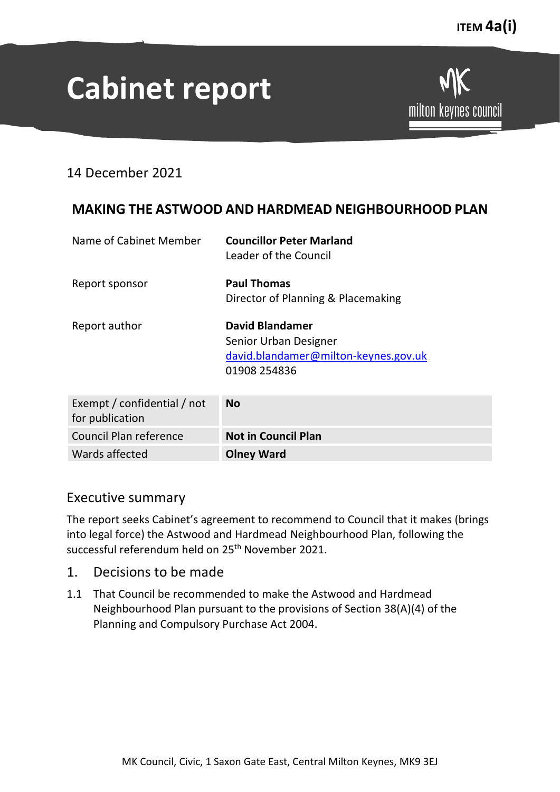# **Cabinet report**

14 December 2021

## **MAKING THE ASTWOOD AND HARDMEAD NEIGHBOURHOOD PLAN**

| Name of Cabinet Member                         | <b>Councillor Peter Marland</b><br>Leader of the Council                                                |
|------------------------------------------------|---------------------------------------------------------------------------------------------------------|
| Report sponsor                                 | <b>Paul Thomas</b><br>Director of Planning & Placemaking                                                |
| Report author                                  | <b>David Blandamer</b><br>Senior Urban Designer<br>david.blandamer@milton-keynes.gov.uk<br>01908 254836 |
| Exempt / confidential / not<br>for publication | No                                                                                                      |
| Council Plan reference                         | <b>Not in Council Plan</b>                                                                              |

## Executive summary

The report seeks Cabinet's agreement to recommend to Council that it makes (brings into legal force) the Astwood and Hardmead Neighbourhood Plan, following the successful referendum held on 25<sup>th</sup> November 2021.

1. Decisions to be made

Wards affected **Olney Ward**

1.1 That Council be recommended to make the Astwood and Hardmead Neighbourhood Plan pursuant to the provisions of Section 38(A)(4) of the Planning and Compulsory Purchase Act 2004.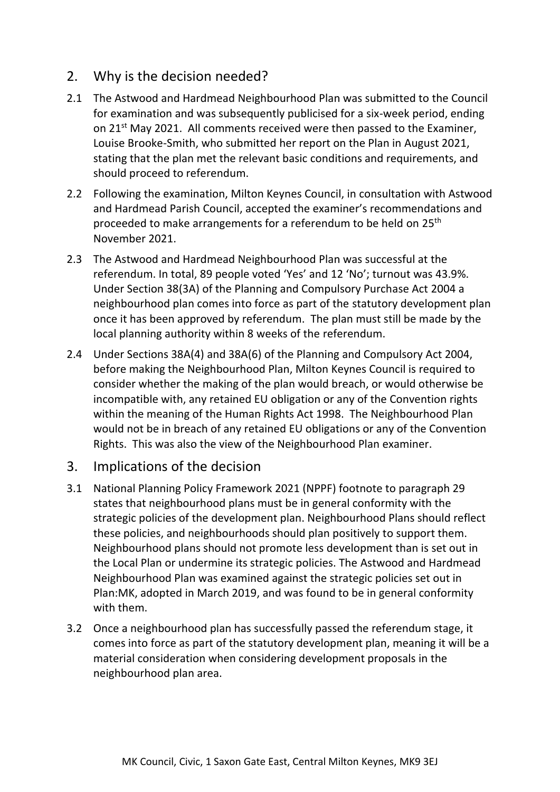## 2. Why is the decision needed?

- 2.1 The Astwood and Hardmead Neighbourhood Plan was submitted to the Council for examination and was subsequently publicised for a six-week period, ending on 21st May 2021. All comments received were then passed to the Examiner, Louise Brooke-Smith, who submitted her report on the Plan in August 2021, stating that the plan met the relevant basic conditions and requirements, and should proceed to referendum.
- 2.2 Following the examination, Milton Keynes Council, in consultation with Astwood and Hardmead Parish Council, accepted the examiner's recommendations and proceeded to make arrangements for a referendum to be held on 25<sup>th</sup> November 2021.
- 2.3 The Astwood and Hardmead Neighbourhood Plan was successful at the referendum. In total, 89 people voted 'Yes' and 12 'No'; turnout was 43.9%. Under Section 38(3A) of the Planning and Compulsory Purchase Act 2004 a neighbourhood plan comes into force as part of the statutory development plan once it has been approved by referendum. The plan must still be made by the local planning authority within 8 weeks of the referendum.
- 2.4 Under Sections 38A(4) and 38A(6) of the Planning and Compulsory Act 2004, before making the Neighbourhood Plan, Milton Keynes Council is required to consider whether the making of the plan would breach, or would otherwise be incompatible with, any retained EU obligation or any of the Convention rights within the meaning of the Human Rights Act 1998. The Neighbourhood Plan would not be in breach of any retained EU obligations or any of the Convention Rights. This was also the view of the Neighbourhood Plan examiner.

## 3. Implications of the decision

- 3.1 National Planning Policy Framework 2021 (NPPF) footnote to paragraph 29 states that neighbourhood plans must be in general conformity with the strategic policies of the development plan. Neighbourhood Plans should reflect these policies, and neighbourhoods should plan positively to support them. Neighbourhood plans should not promote less development than is set out in the Local Plan or undermine its strategic policies. The Astwood and Hardmead Neighbourhood Plan was examined against the strategic policies set out in Plan:MK, adopted in March 2019, and was found to be in general conformity with them.
- 3.2 Once a neighbourhood plan has successfully passed the referendum stage, it comes into force as part of the statutory development plan, meaning it will be a material consideration when considering development proposals in the neighbourhood plan area.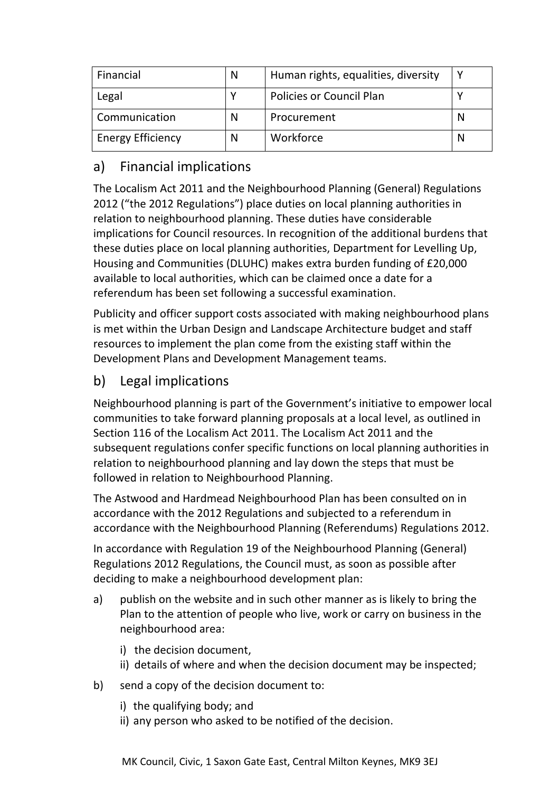| Financial                | N | Human rights, equalities, diversity |  |
|--------------------------|---|-------------------------------------|--|
| Legal                    | v | <b>Policies or Council Plan</b>     |  |
| Communication            | N | Procurement                         |  |
| <b>Energy Efficiency</b> | N | Workforce                           |  |

# a) Financial implications

The Localism Act 2011 and the Neighbourhood Planning (General) Regulations 2012 ("the 2012 Regulations") place duties on local planning authorities in relation to neighbourhood planning. These duties have considerable implications for Council resources. In recognition of the additional burdens that these duties place on local planning authorities, Department for Levelling Up, Housing and Communities (DLUHC) makes extra burden funding of £20,000 available to local authorities, which can be claimed once a date for a referendum has been set following a successful examination.

Publicity and officer support costs associated with making neighbourhood plans is met within the Urban Design and Landscape Architecture budget and staff resources to implement the plan come from the existing staff within the Development Plans and Development Management teams.

## b) Legal implications

Neighbourhood planning is part of the Government's initiative to empower local communities to take forward planning proposals at a local level, as outlined in Section 116 of the Localism Act 2011. The Localism Act 2011 and the subsequent regulations confer specific functions on local planning authorities in relation to neighbourhood planning and lay down the steps that must be followed in relation to Neighbourhood Planning.

The Astwood and Hardmead Neighbourhood Plan has been consulted on in accordance with the 2012 Regulations and subjected to a referendum in accordance with the Neighbourhood Planning (Referendums) Regulations 2012.

In accordance with Regulation 19 of the Neighbourhood Planning (General) Regulations 2012 Regulations, the Council must, as soon as possible after deciding to make a neighbourhood development plan:

- a) publish on the website and in such other manner as is likely to bring the Plan to the attention of people who live, work or carry on business in the neighbourhood area:
	- i) the decision document,
	- ii) details of where and when the decision document may be inspected;
- b) send a copy of the decision document to:
	- i) the qualifying body; and
	- ii) any person who asked to be notified of the decision.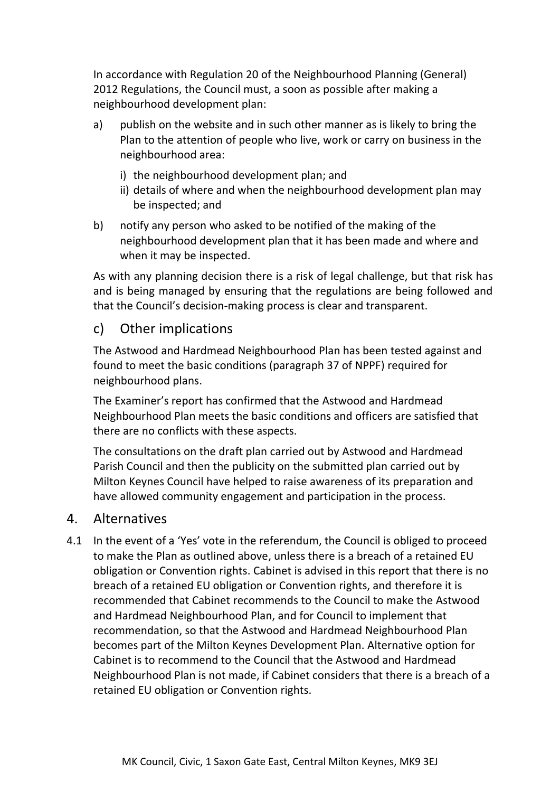In accordance with Regulation 20 of the Neighbourhood Planning (General) 2012 Regulations, the Council must, a soon as possible after making a neighbourhood development plan:

- a) publish on the website and in such other manner as is likely to bring the Plan to the attention of people who live, work or carry on business in the neighbourhood area:
	- i) the neighbourhood development plan; and
	- ii) details of where and when the neighbourhood development plan may be inspected; and
- b) notify any person who asked to be notified of the making of the neighbourhood development plan that it has been made and where and when it may be inspected.

As with any planning decision there is a risk of legal challenge, but that risk has and is being managed by ensuring that the regulations are being followed and that the Council's decision-making process is clear and transparent.

## c) Other implications

The Astwood and Hardmead Neighbourhood Plan has been tested against and found to meet the basic conditions (paragraph 37 of NPPF) required for neighbourhood plans.

The Examiner's report has confirmed that the Astwood and Hardmead Neighbourhood Plan meets the basic conditions and officers are satisfied that there are no conflicts with these aspects.

The consultations on the draft plan carried out by Astwood and Hardmead Parish Council and then the publicity on the submitted plan carried out by Milton Keynes Council have helped to raise awareness of its preparation and have allowed community engagement and participation in the process.

## 4. Alternatives

4.1 In the event of a 'Yes' vote in the referendum, the Council is obliged to proceed to make the Plan as outlined above, unless there is a breach of a retained EU obligation or Convention rights. Cabinet is advised in this report that there is no breach of a retained EU obligation or Convention rights, and therefore it is recommended that Cabinet recommends to the Council to make the Astwood and Hardmead Neighbourhood Plan, and for Council to implement that recommendation, so that the Astwood and Hardmead Neighbourhood Plan becomes part of the Milton Keynes Development Plan. Alternative option for Cabinet is to recommend to the Council that the Astwood and Hardmead Neighbourhood Plan is not made, if Cabinet considers that there is a breach of a retained EU obligation or Convention rights.